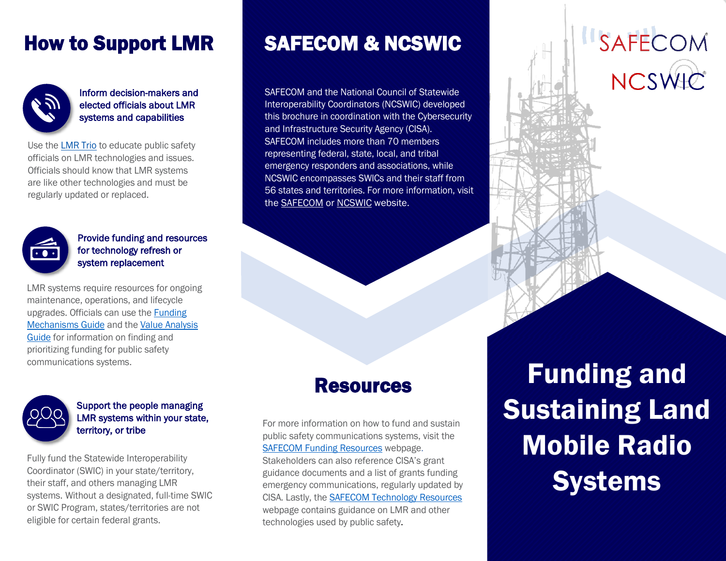### How to Support LMR



Inform decision-makers and elected officials about LMR systems and capabilities

Use the [LMR Trio](http://www.cisa.gov/safecom/funding) to educate public safety officials on LMR technologies and issues. Officials should know that LMR systems are like other technologies and must be regularly updated or replaced.



Provide funding and resources for technology refresh or system replacement

LMR systems require resources for ongoing maintenance, operations, and lifecycle upgrades. Officials can use the [Funding](http://www.cisa.gov/safecom/funding)  [Mechanisms Guide](http://www.cisa.gov/safecom/funding) and the [Value Analysis](http://www.cisa.gov/safecom/funding)  [Guide](http://www.cisa.gov/safecom/funding) for information on finding and prioritizing funding for public safety communications systems.



 $\overline{a}$ 

#### Support the people managing LMR systems within your state, territory, or tribe

Fully fund the Statewide Interoperability Coordinator (SWIC) in your state/territory, their staff, and others managing LMR systems. Without a designated, full-time SWIC or SWIC Program, states/territories are not eligible for certain federal grants.

## SAFECOM & NCSWIC

 Interoperability Coordinators (NCSWIC) developed NCSWIC encompasses SWICs and their staff from the **SAFECOM** or **NCSWIC** website. SAFECOM and the National Council of Statewide this brochure in coordination with the Cybersecurity and Infrastructure Security Agency (CISA). SAFECOM includes more than 70 members representing federal, state, local, and tribal emergency responders and associations, while 56 states and territories. For more information, visit

J

ì

J

Ì

ļ

ĵ

#### Resources

 public safety communications systems, visit the **[SAFECOM Funding Resources webpage.](http://www.cisa.gov/safecom/funding)**<br>Stakeholders can also reference CISA's guidance documents and a list of grants funding<br>example for a summinational matches weaker that CISA. Lastly, the **[SAFECOM Technology](https://www.cisa.gov/safecom/technology) Resources**  technologies used by public safety. For more information on how to fund and sustain Stakeholders can also reference CISA's grant emergency communications, regularly updated by webpage contains guidance on LMR and other

 Sustaining Land Funding and Mobile Radio **Systems** 

**ISAFECOM** 

NCSWIC